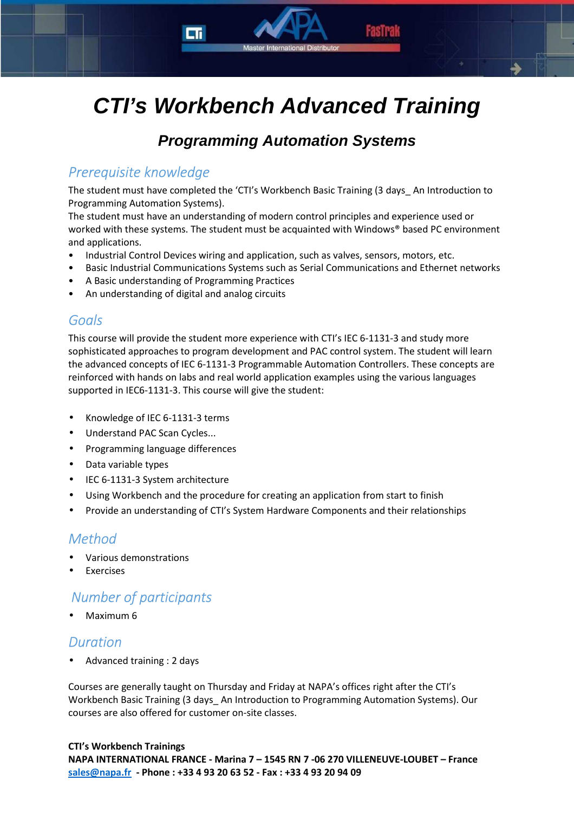# **CTI's Workbench Advanced Training**

**Master International Distributo** 

## **Programming Automation Systems**

### *Prerequisite knowledge*

The student must have completed the 'CTI's Workbench Basic Training (3 days\_ An Introduction to Programming Automation Systems).

The student must have an understanding of modern control principles and experience used or worked with these systems. The student must be acquainted with Windows® based PC environment and applications.

- Industrial Control Devices wiring and application, such as valves, sensors, motors, etc.
- Basic Industrial Communications Systems such as Serial Communications and Ethernet networks
- A Basic understanding of Programming Practices
- An understanding of digital and analog circuits

#### *Goals*

This course will provide the student more experience with CTI's IEC 6-1131-3 and study more sophisticated approaches to program development and PAC control system. The student will learn the advanced concepts of IEC 6-1131-3 Programmable Automation Controllers. These concepts are reinforced with hands on labs and real world application examples using the various languages supported in IEC6-1131-3. This course will give the student:

- Knowledge of IEC 6-1131-3 terms
- Understand PAC Scan Cycles...
- Programming language differences
- Data variable types
- IEC 6-1131-3 System architecture
- Using Workbench and the procedure for creating an application from start to finish
- Provide an understanding of CTI's System Hardware Components and their relationships

#### *Method*

- Various demonstrations
- **Exercises**

## *Number of participants*

• Maximum 6

#### *Duration*

• Advanced training : 2 days

Courses are generally taught on Thursday and Friday at NAPA's offices right after the CTI's Workbench Basic Training (3 days\_ An Introduction to Programming Automation Systems). Our courses are also offered for customer on-site classes.